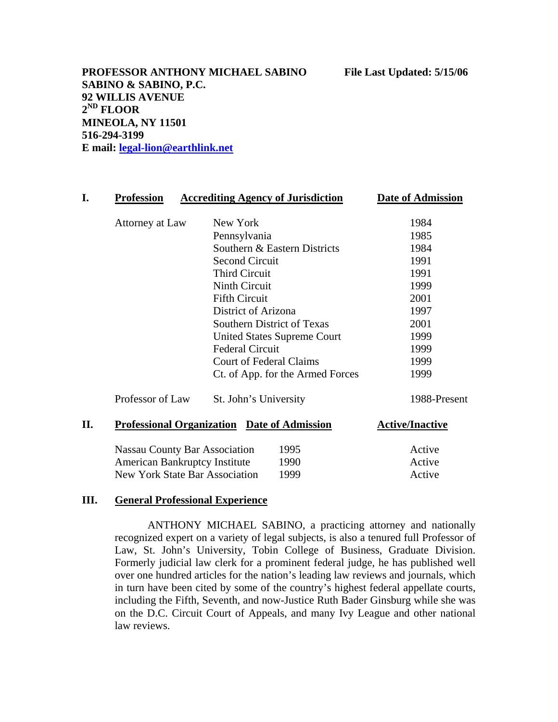**PROFESSOR ANTHONY MICHAEL SABINO File Last Updated: 5/15/06 SABINO & SABINO, P.C. 92 WILLIS AVENUE 2ND FLOOR MINEOLA, NY 11501 516-294-3199 E mail: [legal-lion@earthlink.net](mailto:legal-lion@earthlink.net)**

| <b>Profession</b>                                  | <b>Accrediting Agency of Jurisdiction</b> | <b>Date of Admission</b> |
|----------------------------------------------------|-------------------------------------------|--------------------------|
| Attorney at Law                                    | New York                                  | 1984                     |
|                                                    | Pennsylvania                              | 1985                     |
|                                                    | Southern & Eastern Districts              | 1984                     |
|                                                    | <b>Second Circuit</b>                     | 1991                     |
|                                                    | <b>Third Circuit</b>                      | 1991                     |
|                                                    | <b>Ninth Circuit</b>                      | 1999                     |
|                                                    | <b>Fifth Circuit</b>                      | 2001                     |
|                                                    | District of Arizona                       | 1997                     |
|                                                    | Southern District of Texas                | 2001                     |
|                                                    | <b>United States Supreme Court</b>        | 1999                     |
|                                                    | <b>Federal Circuit</b>                    | 1999                     |
|                                                    | <b>Court of Federal Claims</b>            | 1999                     |
|                                                    | Ct. of App. for the Armed Forces          | 1999                     |
| Professor of Law                                   | St. John's University                     | 1988-Present             |
| <b>Professional Organization Date of Admission</b> |                                           | <b>Active/Inactive</b>   |
| <b>Nassau County Bar Association</b><br>1995       |                                           | Active                   |
| <b>American Bankruptcy Institute</b><br>1990       |                                           | Active                   |
| New York State Bar Association<br>1999             |                                           | Active                   |

### **III. General Professional Experience**

ANTHONY MICHAEL SABINO, a practicing attorney and nationally recognized expert on a variety of legal subjects, is also a tenured full Professor of Law, St. John's University, Tobin College of Business, Graduate Division. Formerly judicial law clerk for a prominent federal judge, he has published well over one hundred articles for the nation's leading law reviews and journals, which in turn have been cited by some of the country's highest federal appellate courts, including the Fifth, Seventh, and now-Justice Ruth Bader Ginsburg while she was on the D.C. Circuit Court of Appeals, and many Ivy League and other national law reviews.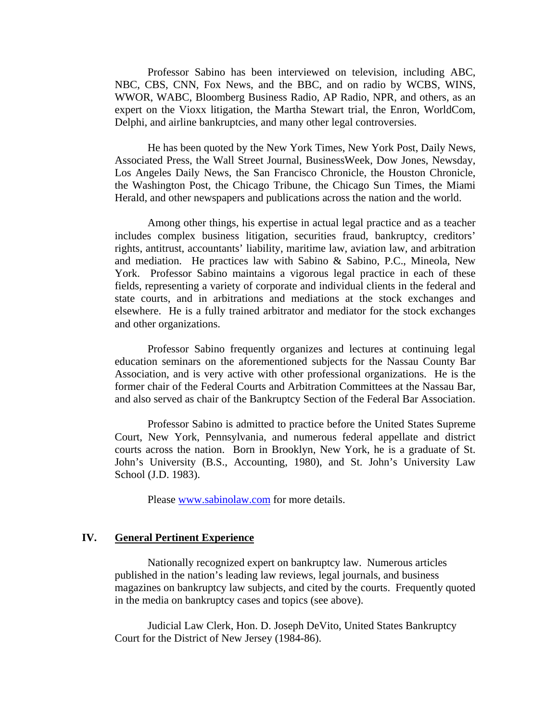Professor Sabino has been interviewed on television, including ABC, NBC, CBS, CNN, Fox News, and the BBC, and on radio by WCBS, WINS, WWOR, WABC, Bloomberg Business Radio, AP Radio, NPR, and others, as an expert on the Vioxx litigation, the Martha Stewart trial, the Enron, WorldCom, Delphi, and airline bankruptcies, and many other legal controversies.

He has been quoted by the New York Times, New York Post, Daily News, Associated Press, the Wall Street Journal, BusinessWeek, Dow Jones, Newsday, Los Angeles Daily News, the San Francisco Chronicle, the Houston Chronicle, the Washington Post, the Chicago Tribune, the Chicago Sun Times, the Miami Herald, and other newspapers and publications across the nation and the world.

Among other things, his expertise in actual legal practice and as a teacher includes complex business litigation, securities fraud, bankruptcy, creditors' rights, antitrust, accountants' liability, maritime law, aviation law, and arbitration and mediation. He practices law with Sabino & Sabino, P.C., Mineola, New York. Professor Sabino maintains a vigorous legal practice in each of these fields, representing a variety of corporate and individual clients in the federal and state courts, and in arbitrations and mediations at the stock exchanges and elsewhere. He is a fully trained arbitrator and mediator for the stock exchanges and other organizations.

Professor Sabino frequently organizes and lectures at continuing legal education seminars on the aforementioned subjects for the Nassau County Bar Association, and is very active with other professional organizations. He is the former chair of the Federal Courts and Arbitration Committees at the Nassau Bar, and also served as chair of the Bankruptcy Section of the Federal Bar Association.

Professor Sabino is admitted to practice before the United States Supreme Court, New York, Pennsylvania, and numerous federal appellate and district courts across the nation. Born in Brooklyn, New York, he is a graduate of St. John's University (B.S., Accounting, 1980), and St. John's University Law School (J.D. 1983).

Please [www.sabinolaw.com](http://www.sabinolaw.com/) for more details.

## **IV. General Pertinent Experience**

Nationally recognized expert on bankruptcy law. Numerous articles published in the nation's leading law reviews, legal journals, and business magazines on bankruptcy law subjects, and cited by the courts. Frequently quoted in the media on bankruptcy cases and topics (see above).

Judicial Law Clerk, Hon. D. Joseph DeVito, United States Bankruptcy Court for the District of New Jersey (1984-86).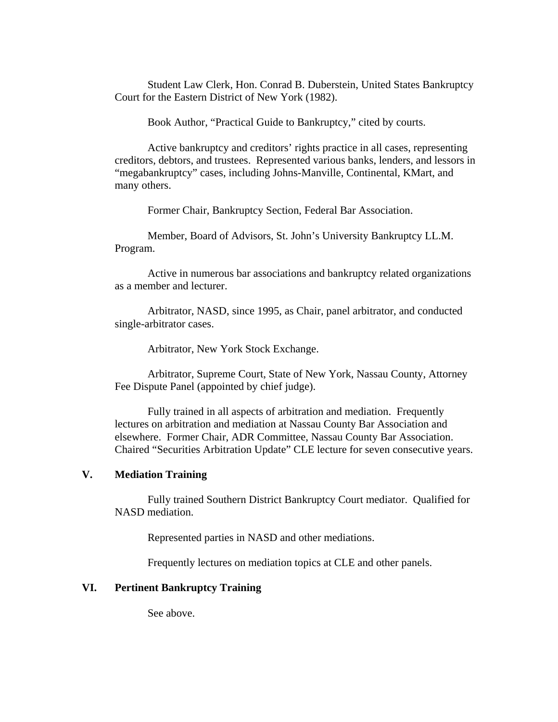Student Law Clerk, Hon. Conrad B. Duberstein, United States Bankruptcy Court for the Eastern District of New York (1982).

Book Author, "Practical Guide to Bankruptcy," cited by courts.

Active bankruptcy and creditors' rights practice in all cases, representing creditors, debtors, and trustees. Represented various banks, lenders, and lessors in "megabankruptcy" cases, including Johns-Manville, Continental, KMart, and many others.

Former Chair, Bankruptcy Section, Federal Bar Association.

Member, Board of Advisors, St. John's University Bankruptcy LL.M. Program.

Active in numerous bar associations and bankruptcy related organizations as a member and lecturer.

Arbitrator, NASD, since 1995, as Chair, panel arbitrator, and conducted single-arbitrator cases.

Arbitrator, New York Stock Exchange.

Arbitrator, Supreme Court, State of New York, Nassau County, Attorney Fee Dispute Panel (appointed by chief judge).

Fully trained in all aspects of arbitration and mediation. Frequently lectures on arbitration and mediation at Nassau County Bar Association and elsewhere. Former Chair, ADR Committee, Nassau County Bar Association. Chaired "Securities Arbitration Update" CLE lecture for seven consecutive years.

#### **V. Mediation Training**

Fully trained Southern District Bankruptcy Court mediator. Qualified for NASD mediation.

Represented parties in NASD and other mediations.

Frequently lectures on mediation topics at CLE and other panels.

#### **VI. Pertinent Bankruptcy Training**

See above.